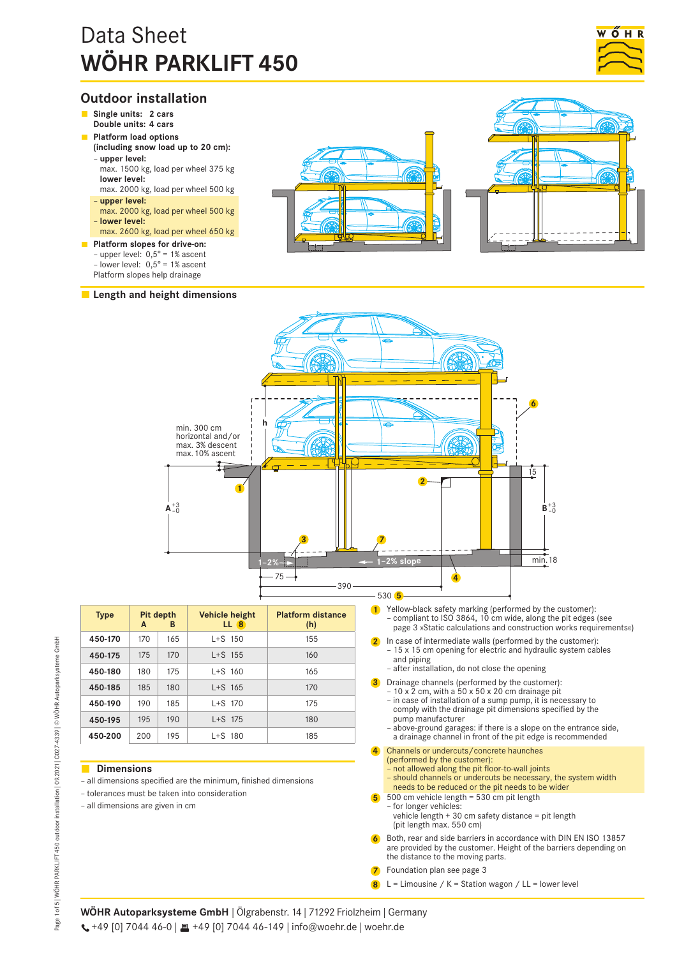# Data Sheet **WÖHR PARKLIFT 450**



# **Outdoor installation**

- **Single units: 2 cars Double units: 4 cars**
- **Platform load options**
- **(including snow load up to 20 cm):** – **upper level:**
- max. 1500 kg, load per wheel 375 kg **lower level:**
- max. 2000 kg, load per wheel 500 kg – **upper level:**
- max. 2000 kg, load per wheel 500 kg – **lower level:**
- max. 2600 kg, load per wheel 650 kg
- **Platform slopes for drive-on:** – upper level:  $0,5^{\circ}$  = 1% ascent – lower level:  $0,5^{\circ}$  = 1% ascent
	- Platform slopes help drainage

# **Length and height dimensions**







| <b>Type</b> | A   | Pit depth<br>в | <b>Vehicle height</b><br>LL <sub>8</sub> | <b>Platform distance</b><br>(h) |
|-------------|-----|----------------|------------------------------------------|---------------------------------|
| 450-170     | 170 | 165            | $1 + S$ 150                              | 155                             |
| 450-175     | 175 | 170            | $1 + S$ 155                              | 160                             |
| 450-180     | 180 | 175            | $L+S$ 160                                | 165                             |
| 450-185     | 185 | 180            | $L+S$ 165                                | 170                             |
| 450-190     | 190 | 185            | $L+S$ 170                                | 175                             |
| 450-195     | 195 | 190            | $L+S$ 175                                | 180                             |
| 450-200     | 200 | 195            | $L+S$ 180                                | 185                             |

# **Dimensions**

- all dimensions specified are the minimum, finished dimensions
- tolerances must be taken into consideration
- all dimensions are given in cm
- **1** Yellow-black safety marking (performed by the customer): – compliant to ISO 3864, 10 cm wide, along the pit edges (see page 3 »Static calculations and construction works requirements«)
	- **2** In case of intermediate walls (performed by the customer): – 15 x 15 cm opening for electric and hydraulic system cables and piping
		- after installation, do not close the opening
- **3** Drainage channels (performed by the customer):  $-10 \times \overline{2}$  cm, with a 50 x 50 x 20 cm drainage pit
	- in case of installation of a sump pump, it is necessary to comply with the drainage pit dimensions specified by the pump manufacturer
	- above-ground garages: if there is a slope on the entrance side, a drainage channel in front of the pit edge is recommended
- **4** Channels or undercuts/concrete haunches (performed by the customer):
	- not allowed along the pit floor-to-wall joints – should channels or undercuts be necessary, the system width
		- needs to be reduced or the pit needs to be wider
- **5** 500 cm vehicle length = 530 cm pit length – for longer vehicles: vehicle length + 30 cm safety distance = pit length (pit length max. 550 cm)
- **6** Both, rear and side barriers in accordance with DIN EN ISO 13857 are provided by the customer. Height of the barriers depending on the distance to the moving parts.
- **7** Foundation plan see page 3
- **8** L = Limousine / K = Station wagon / LL = lower level

**WÖHR Autoparksysteme GmbH** | Ölgrabenstr. 14 | 71292 Friolzheim | Germany  $\leftarrow$  +49 [0] 7044 46-0 |  $\equiv$  +49 [0] 7044 46-149 | info@woehr.de | woehr.de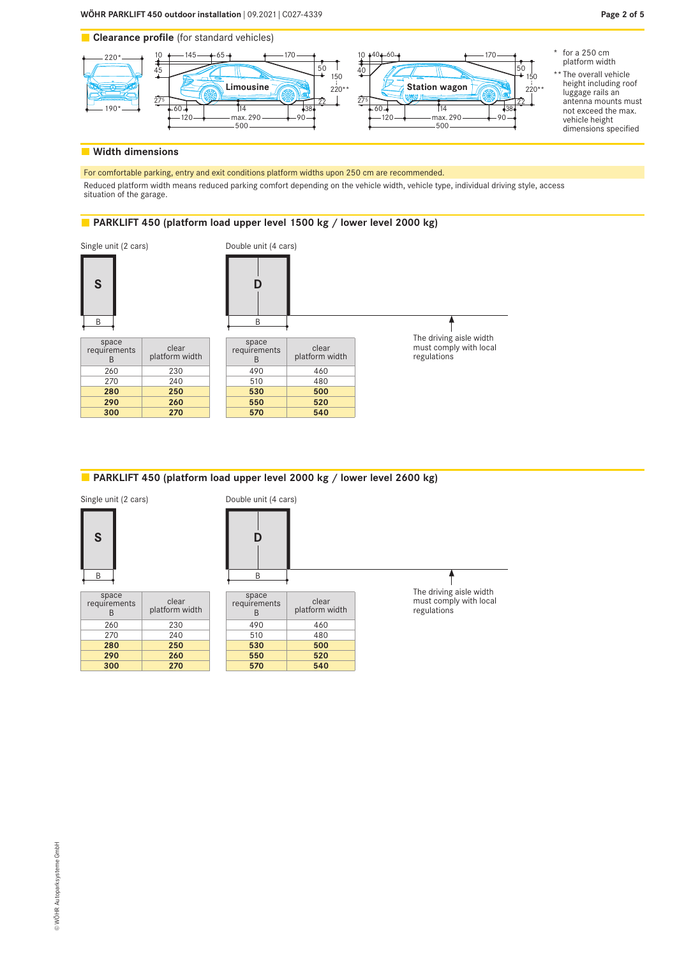



# **Width dimensions**

Reduced platform width means reduced parking comfort depending on the vehicle width, vehicle type, individual driving style, access<br>situation of the garage. rking, entry and exit conditions platform widths upon 250 c For comfortable parking, entry and exit conditions platform widths upon 250 cm are recommended. situation of the garage.

#### PARKLIFT 450 (platform load upper level 1500 kg / lower level 2000 kg) 500 max. 290 90 500

B B 60 14 The driving aisle width 38 max. 290 900 900 900 900 145 65 170 space  $\overrightarrow{a}$  $\frac{1}{\sqrt{1-\frac{1}{\sqrt{1-\frac{1}{\sqrt{1-\frac{1}{\sqrt{1-\frac{1}{\sqrt{1-\frac{1}{\sqrt{1-\frac{1}{\sqrt{1-\frac{1}{\sqrt{1-\frac{1}{\sqrt{1-\frac{1}{\sqrt{1-\frac{1}{\sqrt{1-\frac{1}{\sqrt{1-\frac{1}{\sqrt{1-\frac{1}{\sqrt{1-\frac{1}{\sqrt{1-\frac{1}{\sqrt{1-\frac{1}{\sqrt{1-\frac{1}{\sqrt{1-\frac{1}{\sqrt{1-\frac{1}{\sqrt{1-\frac{1}{\sqrt{1-\frac{1}{\sqrt{1-\frac{1}{\sqrt{1-\frac{1}{\sqrt{1-\frac{1$ 220\* 190\* 540 50 510 480 220\* ...<br>220\* ...  $\overline{1,130}$  490  $\overline{a}$ 10 260 230 **Limousine Break berling Families Families Families Families Families Families Families Families Families Families Families Families Families Families Families Families Families Families Families Fa** space requirements clear<br>  $\begin{array}{c|c}\n\text{space} & \text{clear} \\
\hline\n\text{R} & \text{platform w}\n\end{array}$ platform width 270 240 **280 250 290 260 300 270** requirements clear<br> $R$  platform w platform width 460 **530 500 550 520 570 540** Single unit (2 cars) Double unit (4 cars) must comply with local regulations **S D**

# **PARKLIFT 450 (platform load upper level 2000 kg / lower level 2600 kg)**

Single unit (2 cars)



| le unit (2 cars)    |                         | Double unit (4 cars)  |                         |  |  |
|---------------------|-------------------------|-----------------------|-------------------------|--|--|
| S                   |                         | D                     |                         |  |  |
| B                   |                         | B                     |                         |  |  |
| space<br>quirements | clear<br>platform width | space<br>requirements | clear<br>platform width |  |  |
| 26 Q                | つつい                     | 100                   | $\Lambda$ 60            |  |  |

| space<br>requirements<br>R | clear<br>platform width |
|----------------------------|-------------------------|
| 260                        | 230                     |
| 270                        | 240                     |
| 280                        | 250                     |
| 290                        | 260                     |
| 300                        | 270                     |

275

| space<br>requirements<br>R | clear<br>platform width |
|----------------------------|-------------------------|
| 490                        | 460                     |
| 510                        | 480                     |
| 530                        | 500                     |
| 550                        | 520                     |
| 570                        | 540                     |

The driving aisle width must comply with local regulations

38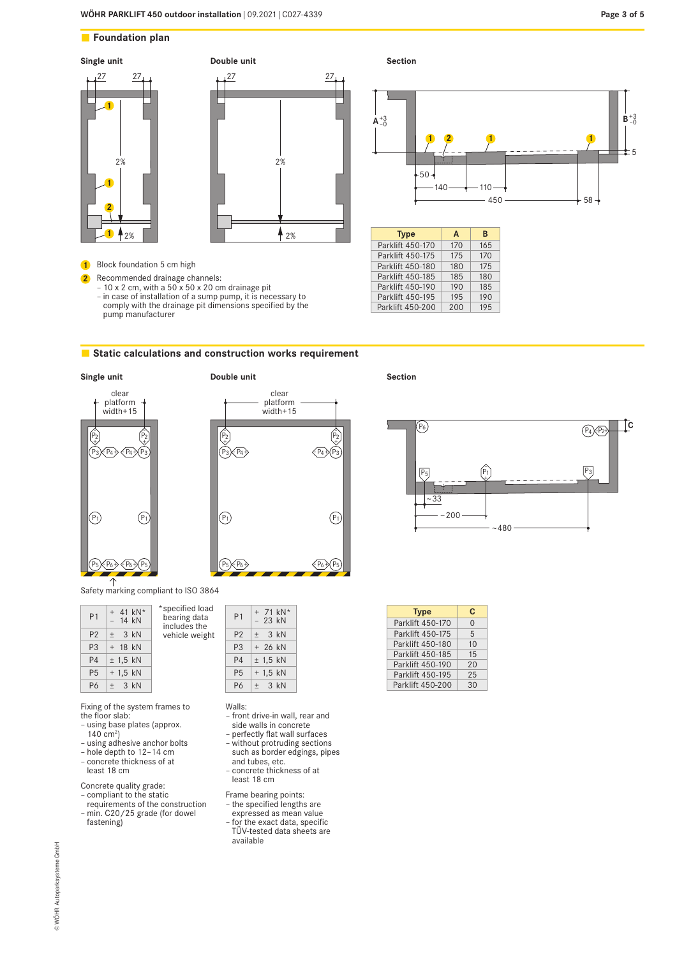5



P3 P3

clear platform width+15

 $\overrightarrow{P_3}\overrightarrow{P_4}\overrightarrow{P_3}$ 

 $P_1$  (P<sub>1</sub>

T.  $\overline{\phantom{a}}$ -

P2 + -

# **Static calculations and construction works requirement**

**Double unit**

+ -

 $\ddot{\mathrm{t}}$ -



Safety marking compliant to ISO 3864

| P <sub>1</sub> | $+ 41$ kN <sup>*</sup><br>$-14$ kN | *specified load<br>bearing data<br>includes the |
|----------------|------------------------------------|-------------------------------------------------|
| P <sub>2</sub> | $\pm$ 3 kN                         | vehicle weight                                  |
| P <sub>3</sub> | $+$ 18 kN                          |                                                 |
| <b>P4</b>      | $±$ 1,5 kN                         |                                                 |
| <b>P5</b>      | $+1.5$ kN                          |                                                 |
| P <sub>6</sub> | $+$ 3 kN                           |                                                 |

Fixing of the system frames to the floor slab:

- using base plates (approx. 140 cm<sup>2</sup>)
- using adhesive anchor bolts
- hole depth to 12–14 cm
- concrete thickness of at least 18 cm

Concrete quality grade:

fastening)

– compliant to the static requirements of the construction – min. C20/25 grade (for dowel

Walls:

- front drive-in wall, rear and side walls in concrete
- perfectly flat wall surfaces – without protruding sections such as border edgings, pipes
- and tubes, etc.

P1  $+ 71$  kN\*<br>- 23 kN P2  $\pm$  3 kN P3 + 26 kN P4  $\pm 1,5$  kN  $P5$  + 1,5 kN P6  $\pm$  3 kN

- concrete thickness of at least 18 cm
- Frame bearing points: – the specified lengths are
- expressed as mean value – for the exact data, specific TÜV-tested data sheets are available

**Section**



 $450 \rightarrow 58$ 

450 S. M. March 1980 S. March 1980 S. March 1980 S. March 1980 S. March 1980 S. M

| <b>Type</b>      | C        |
|------------------|----------|
| Parklift 450-170 | $\Omega$ |
| Parklift 450-175 | 5        |
| Parklift 450-180 | 10       |
| Parklift 450-185 | 15       |
| Parklift 450-190 | 20       |
| Parklift 450-195 | 25       |
| Parklift 450-200 | 30       |
|                  |          |

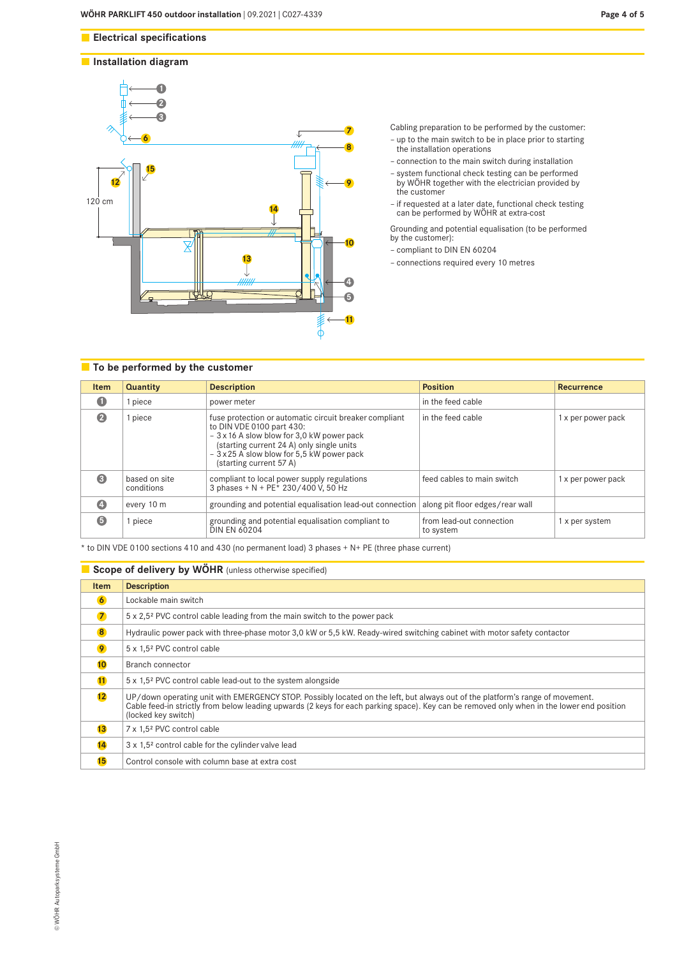# **Installation diagram**



**Page 4 of 5**

Cabling preparation to be performed by the customer:

- up to the main switch to be in place prior to starting the installation operations
- connection to the main switch during installation
- system functional check testing can be performed by WÖHR together with the electrician provided by the customer
- if requested at a later date, functional check testing can be performed by WÖHR at extra-cost

Grounding and potential equalisation (to be performed by the customer):

- compliant to DIN EN 60204
- connections required every 10 metres

# **To be performed by the customer**

| <b>Item</b> | Quantity                    | <b>Description</b>                                                                                                                                                                                                                                      | <b>Position</b>                       | <b>Recurrence</b>  |
|-------------|-----------------------------|---------------------------------------------------------------------------------------------------------------------------------------------------------------------------------------------------------------------------------------------------------|---------------------------------------|--------------------|
| $\bullet$   | piece                       | power meter                                                                                                                                                                                                                                             | in the feed cable                     |                    |
| $\bullet$   | piece                       | fuse protection or automatic circuit breaker compliant<br>to DIN VDE 0100 part 430:<br>- 3 x 16 A slow blow for 3,0 kW power pack<br>(starting current 24 A) only single units<br>- 3 x 25 A slow blow for 5,5 kW power pack<br>(starting current 57 A) | in the feed cable                     | 1 x per power pack |
| €           | based on site<br>conditions | compliant to local power supply regulations<br>3 phases + N + PE <sup>*</sup> 230/400 V, 50 Hz                                                                                                                                                          | feed cables to main switch            | 1 x per power pack |
| $\bullet$   | every 10 m                  | grounding and potential equalisation lead-out connection                                                                                                                                                                                                | along pit floor edges/rear wall       |                    |
| 6           | piece                       | grounding and potential equalisation compliant to<br><b>DIN EN 60204</b>                                                                                                                                                                                | from lead-out connection<br>to system | 1 x per system     |

\* to DIN VDE 0100 sections 410 and 430 (no permanent load) 3 phases + N+ PE (three phase current)

# **Scope of delivery by WÖHR** (unless otherwise specified) **Item Description 6** Lockable main switch **7** 5 x 2,5<sup>2</sup> PVC control cable leading from the main switch to the power pack **8** Hydraulic power pack with three-phase motor 3,0 kW or 5,5 kW. Ready-wired switching cabinet with motor safety contactor **9** 5 x 1,5<sup>2</sup> PVC control cable **10** Branch connector **11** 5 x 1,5² PVC control cable lead-out to the system alongside UP/down operating unit with EMERGENCY STOP. Possibly located on the left, but always out of the platform's range of movement.<br>Cable feed-in strictly from below leading upwards (2 keys for each parking space). Key can be re (locked key switch) 13 7 x 1,5<sup>2</sup> PVC control cable 14 3 x 1,5<sup>2</sup> control cable for the cylinder valve lead **15** Control console with column base at extra cost